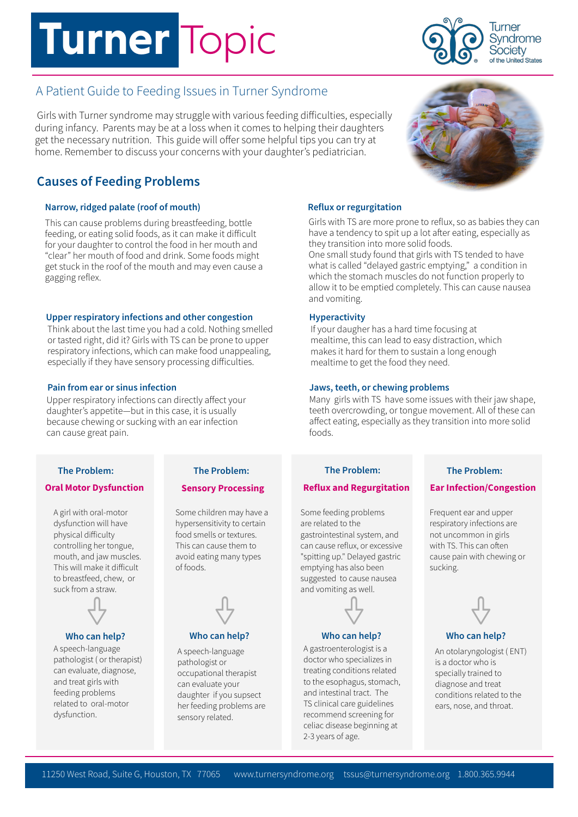## **Turner** Topic

### A Patient Guide to Feeding Issues in Turner Syndrome

 Girls with Turner syndrome may struggle with various feeding difficulties, especially during infancy. Parents may be at a loss when it comes to helping their daughters get the necessary nutrition. This guide will offer some helpful tips you can try at home. Remember to discuss your concerns with your daughter's pediatrician.

### **Causes of Feeding Problems**

### **Narrow, ridged palate (roof of mouth)**

This can cause problems during breastfeeding, bottle feeding, or eating solid foods, as it can make it difficult for your daughter to control the food in her mouth and "clear" her mouth of food and drink. Some foods might get stuck in the roof of the mouth and may even cause a gagging reflex.

### **Upper respiratory infections and other congestion**

Think about the last time you had a cold. Nothing smelled or tasted right, did it? Girls with TS can be prone to upper respiratory infections, which can make food unappealing, especially if they have sensory processing difficulties.

### **Pain from ear or sinus infection**

Upper respiratory infections can directly affect your daughter's appetite—but in this case, it is usually because chewing or sucking with an ear infection can cause great pain.

### **The Problem:**

### **Oral Motor Dysfunction**

A girl with oral-motor dysfunction will have physical difficulty controlling her tongue, mouth, and jaw muscles. This will make it difficult to breastfeed, chew, or suck from a straw.



### **Who can help?**

A speech-language pathologist ( or therapist) can evaluate, diagnose, and treat girls with feeding problems related to oral-motor dysfunction.

### **The Problem:**

### **Sensory Processing**

Some children may have a hypersensitivity to certain food smells or textures. This can cause them to avoid eating many types of foods.



### A speech-language pathologist or occupational therapist can evaluate your daughter if you supsect her feeding problems are sensory related.

### **Reflux or regurgitation**

Girls with TS are more prone to reflux, so as babies they can have a tendency to spit up a lot after eating, especially as they transition into more solid foods.

One small study found that girls with TS tended to have what is called "delayed gastric emptying," a condition in which the stomach muscles do not function properly to allow it to be emptied completely. This can cause nausea and vomiting.

### **Hyperactivity**

If your daugher has a hard time focusing at mealtime, this can lead to easy distraction, which makes it hard for them to sustain a long enough mealtime to get the food they need.

### **Jaws, teeth, or chewing problems**

Many girls with TS have some issues with their jaw shape, teeth overcrowding, or tongue movement. All of these can affect eating, especially as they transition into more solid foods.

### **The Problem:**

### **Reflux and Regurgitation**

Some feeding problems are related to the gastrointestinal system, and can cause reflux, or excessive "spitting up." Delayed gastric emptying has also been suggested to cause nausea and vomiting as well.

### **Who can help?**

A gastroenterologist is a doctor who specializes in treating conditions related to the esophagus, stomach, and intestinal tract. The TS clinical care guidelines recommend screening for celiac disease beginning at 2-3 years of age.

### **Ear Infection/Congestion The Problem:**

Frequent ear and upper respiratory infections are not uncommon in girls with TS. This can often cause pain with chewing or sucking.

## **Who can help?**

An otolaryngologist ( ENT) is a doctor who is specially trained to diagnose and treat conditions related to the ears, nose, and throat.